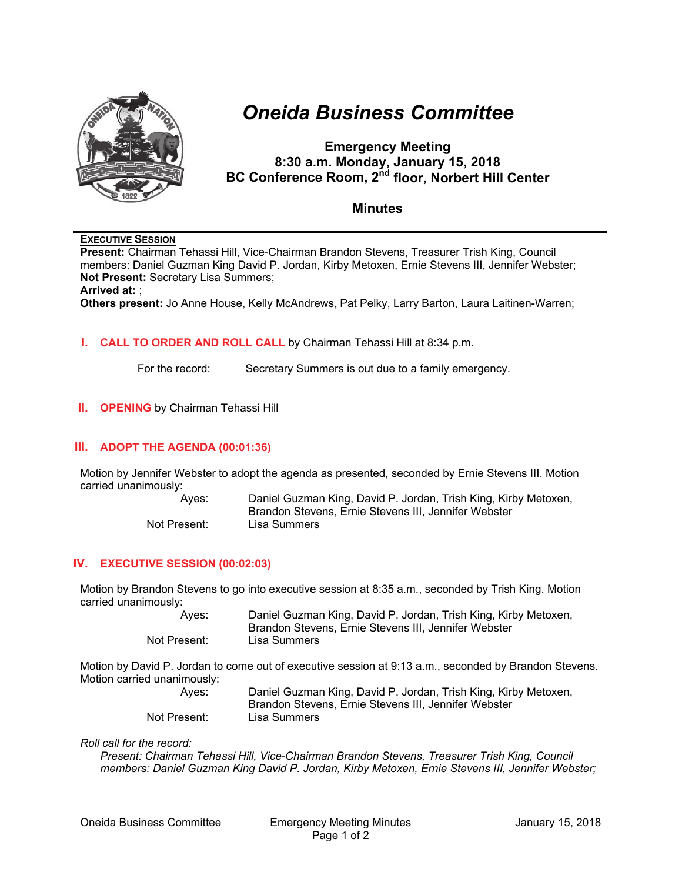

# *Oneida Business Committee*

# **Emergency Meeting 8:30 a.m. Monday, January 15, 2018 BC Conference Room, 2<sup>nd</sup> floor, Norbert Hill Center**

# **Minutes**

# **EXECUTIVE SESSION**

**Present:** Chairman Tehassi Hill, Vice-Chairman Brandon Stevens, Treasurer Trish King, Council members: Daniel Guzman King David P. Jordan, Kirby Metoxen, Ernie Stevens III, Jennifer Webster; **Not Present:** Secretary Lisa Summers;

#### **Arrived at:** ;

**Others present:** Jo Anne House, Kelly McAndrews, Pat Pelky, Larry Barton, Laura Laitinen-Warren;

#### **I. CALL TO ORDER AND ROLL CALL** by Chairman Tehassi Hill at 8:34 p.m.

For the record: Secretary Summers is out due to a family emergency.

#### **II.** OPENING by Chairman Tehassi Hill

# **III. ADOPT THE AGENDA (00:01:36)**

Motion by Jennifer Webster to adopt the agenda as presented, seconded by Ernie Stevens III. Motion carried unanimously:

| Aves:        | Daniel Guzman King, David P. Jordan, Trish King, Kirby Metoxen, |
|--------------|-----------------------------------------------------------------|
|              | Brandon Stevens, Ernie Stevens III, Jennifer Webster            |
| Not Present: | Lisa Summers                                                    |

# **IV. EXECUTIVE SESSION (00:02:03)**

Motion by Brandon Stevens to go into executive session at 8:35 a.m., seconded by Trish King. Motion carried unanimously:

> Ayes: Daniel Guzman King, David P. Jordan, Trish King, Kirby Metoxen, Brandon Stevens, Ernie Stevens III, Jennifer Webster Not Present: Lisa Summers

Motion by David P. Jordan to come out of executive session at 9:13 a.m., seconded by Brandon Stevens. Motion carried unanimously:

| Aves:        | Daniel Guzman King, David P. Jordan, Trish King, Kirby Metoxen, |
|--------------|-----------------------------------------------------------------|
|              | Brandon Stevens, Ernie Stevens III, Jennifer Webster            |
| Not Present: | Lisa Summers                                                    |

#### *Roll call for the record:*

*Present: Chairman Tehassi Hill, Vice-Chairman Brandon Stevens, Treasurer Trish King, Council members: Daniel Guzman King David P. Jordan, Kirby Metoxen, Ernie Stevens III, Jennifer Webster;*